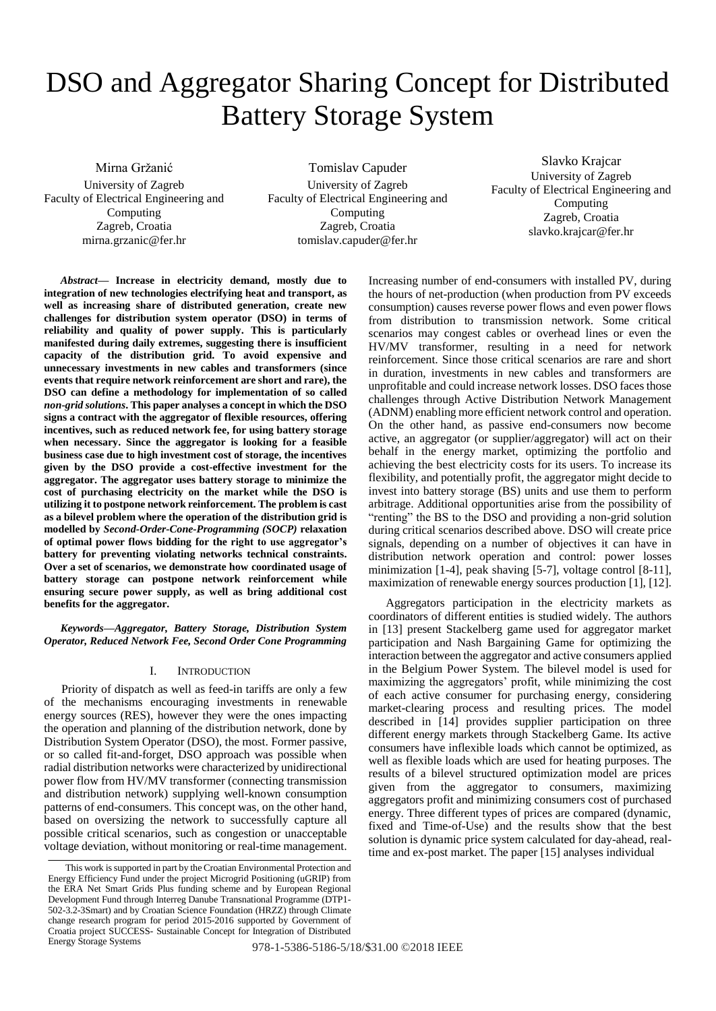# DSO and Aggregator Sharing Concept for Distributed Battery Storage System

Mirna Gržanić University of Zagreb Faculty of Electrical Engineering and Computing Zagreb, Croatia mirna.grzanic@fer.hr

Tomislav Capuder University of Zagreb Faculty of Electrical Engineering and Computing Zagreb, Croatia tomislav.capuder@fer.hr

Slavko Krajcar University of Zagreb Faculty of Electrical Engineering and Computing Zagreb, Croatia slavko.krajcar@fer.hr

*Abstract***— Increase in electricity demand, mostly due to integration of new technologies electrifying heat and transport, as well as increasing share of distributed generation, create new challenges for distribution system operator (DSO) in terms of reliability and quality of power supply. This is particularly manifested during daily extremes, suggesting there is insufficient capacity of the distribution grid. To avoid expensive and unnecessary investments in new cables and transformers (since events that require network reinforcement are short and rare), the DSO can define a methodology for implementation of so called**  *non-grid solutions***. This paper analyses a concept in which the DSO signs a contract with the aggregator of flexible resources, offering incentives, such as reduced network fee, for using battery storage when necessary. Since the aggregator is looking for a feasible business case due to high investment cost of storage, the incentives given by the DSO provide a cost-effective investment for the aggregator. The aggregator uses battery storage to minimize the cost of purchasing electricity on the market while the DSO is utilizing it to postpone network reinforcement. The problem is cast as a bilevel problem where the operation of the distribution grid is modelled by** *Second-Order-Cone-Programming (SOCP)* **relaxation of optimal power flows bidding for the right to use aggregator's battery for preventing violating networks technical constraints. Over a set of scenarios, we demonstrate how coordinated usage of battery storage can postpone network reinforcement while ensuring secure power supply, as well as bring additional cost benefits for the aggregator.**

*Keywords—Aggregator, Battery Storage, Distribution System Operator, Reduced Network Fee, Second Order Cone Programming* 

#### I. INTRODUCTION

Priority of dispatch as well as feed-in tariffs are only a few of the mechanisms encouraging investments in renewable energy sources (RES), however they were the ones impacting the operation and planning of the distribution network, done by Distribution System Operator (DSO), the most. Former passive, or so called fit-and-forget, DSO approach was possible when radial distribution networks were characterized by unidirectional power flow from HV/MV transformer (connecting transmission and distribution network) supplying well-known consumption patterns of end-consumers. This concept was, on the other hand, based on oversizing the network to successfully capture all possible critical scenarios, such as congestion or unacceptable voltage deviation, without monitoring or real-time management. Increasing number of end-consumers with installed PV, during the hours of net-production (when production from PV exceeds consumption) causes reverse power flows and even power flows from distribution to transmission network. Some critical scenarios may congest cables or overhead lines or even the HV/MV transformer, resulting in a need for network reinforcement. Since those critical scenarios are rare and short in duration, investments in new cables and transformers are unprofitable and could increase network losses. DSO faces those challenges through Active Distribution Network Management (ADNM) enabling more efficient network control and operation. On the other hand, as passive end-consumers now become active, an aggregator (or supplier/aggregator) will act on their behalf in the energy market, optimizing the portfolio and achieving the best electricity costs for its users. To increase its flexibility, and potentially profit, the aggregator might decide to invest into battery storage (BS) units and use them to perform arbitrage. Additional opportunities arise from the possibility of "renting" the BS to the DSO and providing a non-grid solution during critical scenarios described above. DSO will create price signals, depending on a number of objectives it can have in distribution network operation and control: power losses minimization [1-4], peak shaving [5-7], voltage control [8-11], maximization of renewable energy sources production [1], [12].

Aggregators participation in the electricity markets as coordinators of different entities is studied widely. The authors in [13] present Stackelberg game used for aggregator market participation and Nash Bargaining Game for optimizing the interaction between the aggregator and active consumers applied in the Belgium Power System. The bilevel model is used for maximizing the aggregators' profit, while minimizing the cost of each active consumer for purchasing energy, considering market-clearing process and resulting prices. The model described in [14] provides supplier participation on three different energy markets through Stackelberg Game. Its active consumers have inflexible loads which cannot be optimized, as well as flexible loads which are used for heating purposes. The results of a bilevel structured optimization model are prices given from the aggregator to consumers, maximizing aggregators profit and minimizing consumers cost of purchased energy. Three different types of prices are compared (dynamic, fixed and Time-of-Use) and the results show that the best solution is dynamic price system calculated for day-ahead, realtime and ex-post market. The paper [15] analyses individual

This work is supported in part by the Croatian Environmental Protection and Energy Efficiency Fund under the project Microgrid Positioning (uGRIP) from the ERA Net Smart Grids Plus funding scheme and by European Regional Development Fund through Interreg Danube Transnational Programme (DTP1- 502-3.2-3Smart) and by Croatian Science Foundation (HRZZ) through Climate change research program for period 2015-2016 supported by Government of Croatia project SUCCESS- Sustainable Concept for Integration of Distributed Energy Storage Systems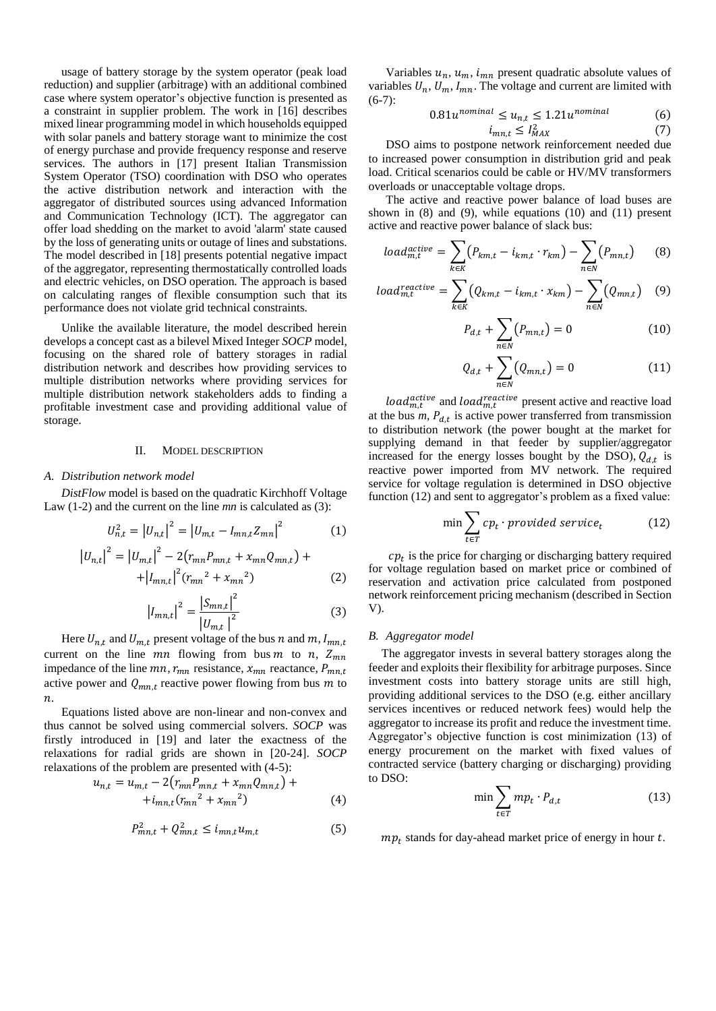usage of battery storage by the system operator (peak load reduction) and supplier (arbitrage) with an additional combined case where system operator's objective function is presented as a constraint in supplier problem. The work in [16] describes mixed linear programming model in which households equipped with solar panels and battery storage want to minimize the cost of energy purchase and provide frequency response and reserve services. The authors in [17] present Italian Transmission System Operator (TSO) coordination with DSO who operates the active distribution network and interaction with the aggregator of distributed sources using advanced Information and Communication Technology (ICT). The aggregator can offer load shedding on the market to avoid 'alarm' state caused by the loss of generating units or outage of lines and substations. The model described in [18] presents potential negative impact of the aggregator, representing thermostatically controlled loads and electric vehicles, on DSO operation. The approach is based on calculating ranges of flexible consumption such that its performance does not violate grid technical constraints.

Unlike the available literature, the model described herein develops a concept cast as a bilevel Mixed Integer *SOCP* model, focusing on the shared role of battery storages in radial distribution network and describes how providing services to multiple distribution networks where providing services for multiple distribution network stakeholders adds to finding a profitable investment case and providing additional value of storage.

#### II. MODEL DESCRIPTION

#### *A. Distribution network model*

*DistFlow* model is based on the quadratic Kirchhoff Voltage Law (1-2) and the current on the line *mn* is calculated as (3):

$$
U_{n,t}^{2} = |U_{n,t}|^{2} = |U_{m,t} - I_{mn,t} Z_{mn}|^{2}
$$
 (1)

$$
|U_{n,t}|^2 = |U_{m,t}|^2 - 2(r_{mn}P_{mn,t} + x_{mn}Q_{mn,t}) +
$$
  
+  $|I_{mn,t}|^2(r_{mn}^2 + x_{mn}^2)$  (2)

$$
|I_{mn,t}|^2 = \frac{|S_{mn,t}|^2}{|U_{m,t}|^2}
$$
 (3)

Here  $U_{n,t}$  and  $U_{m,t}$  present voltage of the bus n and m,  $I_{mn,t}$ current on the line  $mn$  flowing from bus  $m$  to  $n$ ,  $Z_{mn}$ impedance of the line  $mn$ ,  $r_{mn}$  resistance,  $x_{mn}$  reactance,  $P_{mn,t}$ active power and  $Q_{mn,t}$  reactive power flowing from bus m to  $n$ .

Equations listed above are non-linear and non-convex and thus cannot be solved using commercial solvers. *SOCP* was firstly introduced in [19] and later the exactness of the relaxations for radial grids are shown in [20-24]. *SOCP* relaxations of the problem are presented with (4-5):

$$
u_{n,t} = u_{m,t} - 2(r_{mn}P_{mn,t} + x_{mn}Q_{mn,t}) +
$$
  
+ $i_{mn,t}(r_{mn}^2 + x_{mn}^2)$  (4)

$$
P_{mn,t}^2 + Q_{mn,t}^2 \le i_{mn,t} u_{m,t}
$$
 (5)

Variables  $u_n, u_m, i_{mn}$  present quadratic absolute values of variables  $U_n, U_m, I_{mn}$ . The voltage and current are limited with  $(6-7)$ :

$$
0.81u^{nominal} \le u_{n,t} \le 1.21u^{nominal}
$$
 (6)

$$
i_{mn,t} \leq I_{MAX}^2 \tag{7}
$$

DSO aims to postpone network reinforcement needed due to increased power consumption in distribution grid and peak load. Critical scenarios could be cable or HV/MV transformers overloads or unacceptable voltage drops.

The active and reactive power balance of load buses are shown in (8) and (9), while equations (10) and (11) present active and reactive power balance of slack bus:

$$
load_{m,t}^{active} = \sum_{k \in K} (P_{km,t} - i_{km,t} \cdot r_{km}) - \sum_{n \in N} (P_{mn,t}) \tag{8}
$$

$$
load_{m,t}^{reactive} = \sum_{k \in K} (Q_{km,t} - i_{km,t} \cdot x_{km}) - \sum_{n \in N} (Q_{mn,t}) \quad (9)
$$

$$
P_{d,t} + \sum_{n \in N} (P_{mn,t}) = 0
$$
 (10)

$$
Q_{d,t} + \sum_{n \in N} (Q_{mn,t}) = 0
$$
 (11)

load $_{m,t}^{active}$  and load $_{m,t}^{reactive}$  present active and reactive load at the bus  $m$ ,  $P_{d,t}$  is active power transferred from transmission to distribution network (the power bought at the market for supplying demand in that feeder by supplier/aggregator increased for the energy losses bought by the DSO),  $Q_{d,t}$  is reactive power imported from MV network. The required service for voltage regulation is determined in DSO objective function (12) and sent to aggregator's problem as a fixed value:

$$
\min \sum_{t \in T} c p_t \cdot provided \ service_t \tag{12}
$$

 $cp<sub>t</sub>$  is the price for charging or discharging battery required for voltage regulation based on market price or combined of reservation and activation price calculated from postponed network reinforcement pricing mechanism (described in Section V).

#### *B. Aggregator model*

The aggregator invests in several battery storages along the feeder and exploits their flexibility for arbitrage purposes. Since investment costs into battery storage units are still high, providing additional services to the DSO (e.g. either ancillary services incentives or reduced network fees) would help the aggregator to increase its profit and reduce the investment time. Aggregator's objective function is cost minimization (13) of energy procurement on the market with fixed values of contracted service (battery charging or discharging) providing to DSO:

$$
\min \sum_{t \in T} m p_t \cdot P_{d,t} \tag{13}
$$

 $mp_t$  stands for day-ahead market price of energy in hour  $t$ .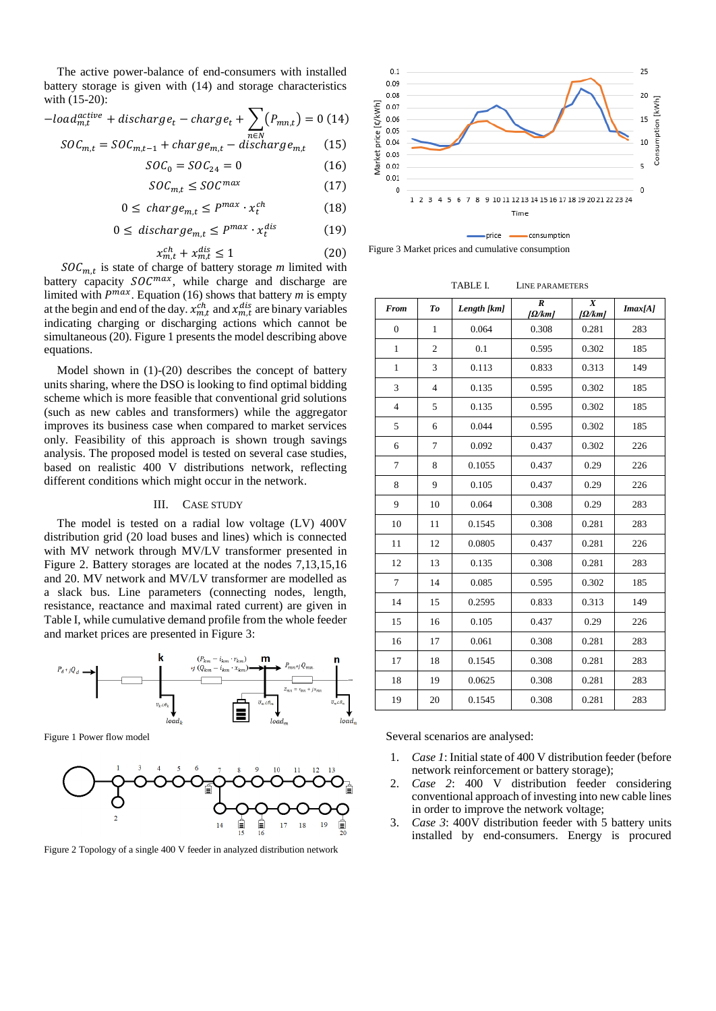The active power-balance of end-consumers with installed battery storage is given with (14) and storage characteristics with (15-20):

$$
-load_{m,t}^{active} + discharge_t - charge_t + \sum_{n \in N} (P_{mn,t}) = 0 (14)
$$

$$
SOC_{m,t} = SOC_{m,t-1} + charge_{m,t} - discharge_{m,t} \quad (15)
$$

$$
SOC_0 = SOC_{24} = 0 \tag{16}
$$

$$
S O C_{m,t} \leq S O C^{max} \tag{17}
$$

$$
0 \leq \, charge_{m,t} \leq P^{max} \cdot x_t^{ch} \tag{18}
$$

$$
0 \leq \text{discharge}_{m,t} \leq P^{\text{max}} \cdot x_t^{\text{dis}} \tag{19}
$$

$$
x_{m,t}^{ch} + x_{m,t}^{dis} \le 1\tag{20}
$$

 $SOC_{m,t}$  is state of charge of battery storage *m* limited with battery capacity  $SOC^{max}$ , while charge and discharge are limited with  $P^{max}$ . Equation (16) shows that battery  $m$  is empty at the begin and end of the day.  $x_{m,t}^{ch}$  and  $x_{m,t}^{dis}$  are binary variables indicating charging or discharging actions which cannot be simultaneous (20). Figure 1 presents the model describing above equations.

Model shown in (1)-(20) describes the concept of battery units sharing, where the DSO is looking to find optimal bidding scheme which is more feasible that conventional grid solutions (such as new cables and transformers) while the aggregator improves its business case when compared to market services only. Feasibility of this approach is shown trough savings analysis. The proposed model is tested on several case studies, based on realistic 400 V distributions network, reflecting different conditions which might occur in the network.

### III. CASE STUDY

The model is tested on a radial low voltage (LV) 400V distribution grid (20 load buses and lines) which is connected with MV network through MV/LV transformer presented in Figure 2. Battery storages are located at the nodes 7,13,15,16 and 20. MV network and MV/LV transformer are modelled as a slack bus. Line parameters (connecting nodes, length, resistance, reactance and maximal rated current) are given in Table I, while cumulative demand profile from the whole feeder and market prices are presented in Figure 3:



Figure 1 Power flow model



Figure 2 Topology of a single 400 V feeder in analyzed distribution network



Figure 3 Market prices and cumulative consumption

| <b>From</b>    | To             | Length [km] | $\boldsymbol{R}$<br>$[ \Omega/km ]$ | $\boldsymbol{X}$<br>$[ \Omega/km ]$ | Imax[A] |
|----------------|----------------|-------------|-------------------------------------|-------------------------------------|---------|
| $\overline{0}$ | 1              | 0.064       | 0.308                               | 0.281                               | 283     |
| $\mathbf{1}$   | $\overline{c}$ | 0.1         | 0.595                               | 0.302                               | 185     |
| $\mathbf{1}$   | 3              | 0.113       | 0.833                               | 0.313                               | 149     |
| 3              | $\overline{4}$ | 0.135       | 0.595                               | 0.302                               | 185     |
| $\overline{4}$ | 5              | 0.135       | 0.595                               | 0.302                               | 185     |
| 5              | 6              | 0.044       | 0.595                               | 0.302                               | 185     |
| 6              | 7              | 0.092       | 0.437                               | 0.302                               | 226     |
| 7              | 8              | 0.1055      | 0.437                               | 0.29                                | 226     |
| 8              | 9              | 0.105       | 0.437                               | 0.29                                | 226     |
| 9              | 10             | 0.064       | 0.308                               | 0.29                                | 283     |
| 10             | 11             | 0.1545      | 0.308                               | 0.281                               | 283     |
| 11             | 12             | 0.0805      | 0.437                               | 0.281                               | 226     |
| 12             | 13             | 0.135       | 0.308                               | 0.281                               | 283     |
| 7              | 14             | 0.085       | 0.595                               | 0.302                               | 185     |
| 14             | 15             | 0.2595      | 0.833                               | 0.313                               | 149     |
| 15             | 16             | 0.105       | 0.437                               | 0.29                                | 226     |
| 16             | 17             | 0.061       | 0.308                               | 0.281                               | 283     |
| 17             | 18             | 0.1545      | 0.308                               | 0.281                               | 283     |
| 18             | 19             | 0.0625      | 0.308                               | 0.281                               | 283     |
| 19             | 20             | 0.1545      | 0.308                               | 0.281                               | 283     |

Several scenarios are analysed:

- 1. *Case 1*: Initial state of 400 V distribution feeder (before network reinforcement or battery storage);
- 2. *Case 2*: 400 V distribution feeder considering conventional approach of investing into new cable lines in order to improve the network voltage;
- 3. *Case 3*: 400V distribution feeder with 5 battery units installed by end-consumers. Energy is procured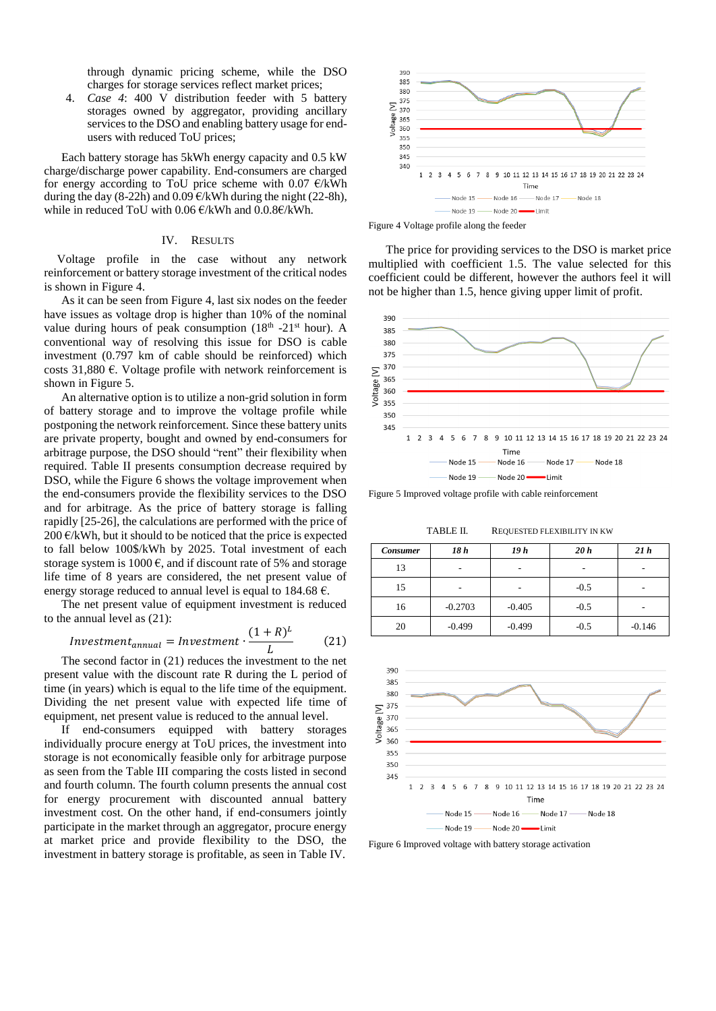through dynamic pricing scheme, while the DSO charges for storage services reflect market prices;

4. *Case 4*: 400 V distribution feeder with 5 battery storages owned by aggregator, providing ancillary services to the DSO and enabling battery usage for endusers with reduced ToU prices;

Each battery storage has 5kWh energy capacity and 0.5 kW charge/discharge power capability. End-consumers are charged for energy according to ToU price scheme with 0.07  $\epsilon$ /kWh during the day (8-22h) and 0.09  $\epsilon$ /kWh during the night (22-8h), while in reduced ToU with 0.06 €/kWh and 0.0.8€/kWh.

# IV. RESULTS

Voltage profile in the case without any network reinforcement or battery storage investment of the critical nodes is shown in Figure 4.

As it can be seen from Figure 4, last six nodes on the feeder have issues as voltage drop is higher than 10% of the nominal value during hours of peak consumption  $(18<sup>th</sup> -21<sup>st</sup>$  hour). A conventional way of resolving this issue for DSO is cable investment (0.797 km of cable should be reinforced) which costs 31,880  $\epsilon$ . Voltage profile with network reinforcement is shown in Figure 5.

An alternative option is to utilize a non-grid solution in form of battery storage and to improve the voltage profile while postponing the network reinforcement. Since these battery units are private property, bought and owned by end-consumers for arbitrage purpose, the DSO should "rent" their flexibility when required. Table II presents consumption decrease required by DSO, while the Figure 6 shows the voltage improvement when the end-consumers provide the flexibility services to the DSO and for arbitrage. As the price of battery storage is falling rapidly [25-26], the calculations are performed with the price of 200  $\epsilon$ /kWh, but it should to be noticed that the price is expected to fall below 100\$/kWh by 2025. Total investment of each storage system is 1000  $\epsilon$ , and if discount rate of 5% and storage life time of 8 years are considered, the net present value of energy storage reduced to annual level is equal to 184.68  $\epsilon$ .

The net present value of equipment investment is reduced to the annual level as (21):

$$
Investment_{annual} = Investment \cdot \frac{(1+R)^{L}}{L}
$$
 (21)

The second factor in (21) reduces the investment to the net present value with the discount rate R during the L period of time (in years) which is equal to the life time of the equipment. Dividing the net present value with expected life time of equipment, net present value is reduced to the annual level.

If end-consumers equipped with battery storages individually procure energy at ToU prices, the investment into storage is not economically feasible only for arbitrage purpose as seen from the Table III comparing the costs listed in second and fourth column. The fourth column presents the annual cost for energy procurement with discounted annual battery investment cost. On the other hand, if end-consumers jointly participate in the market through an aggregator, procure energy at market price and provide flexibility to the DSO, the investment in battery storage is profitable, as seen in Table IV.





The price for providing services to the DSO is market price multiplied with coefficient 1.5. The value selected for this coefficient could be different, however the authors feel it will not be higher than 1.5, hence giving upper limit of profit.



Figure 5 Improved voltage profile with cable reinforcement

TABLE II. REQUESTED FLEXIBILITY IN KW

| <b>Consumer</b> | 18 h      | 19 h     | 20h    | 21h      |
|-----------------|-----------|----------|--------|----------|
| 13              |           |          |        |          |
| 15              | -         |          | $-0.5$ | ۰        |
| 16              | $-0.2703$ | $-0.405$ | $-0.5$ | ۰        |
| 20              | $-0.499$  | $-0.499$ | $-0.5$ | $-0.146$ |



Figure 6 Improved voltage with battery storage activation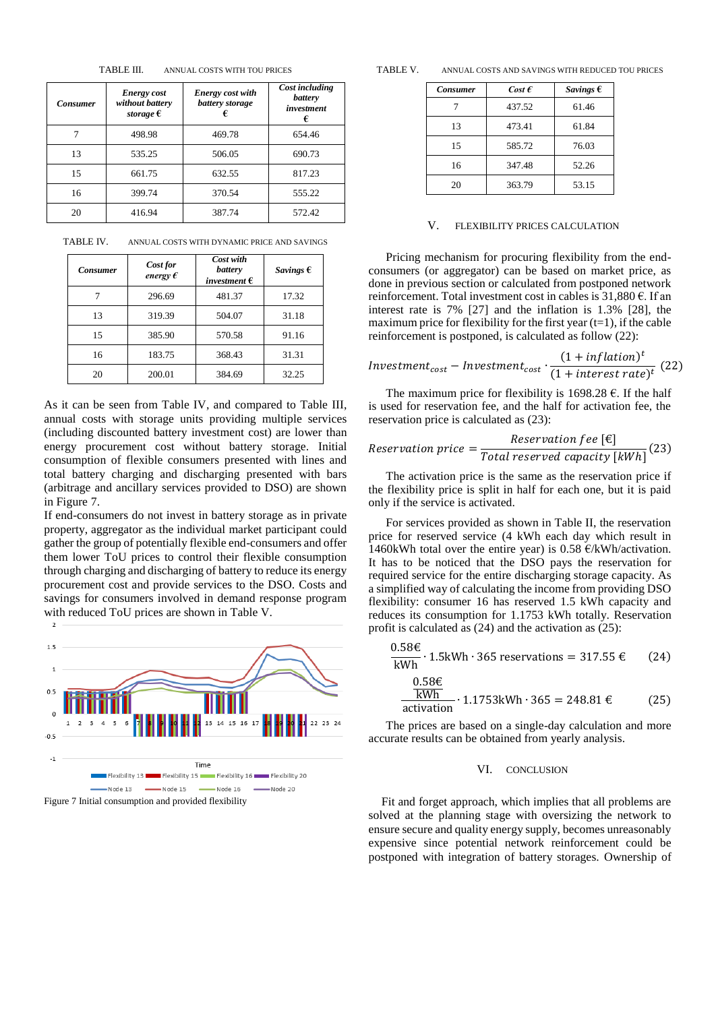TABLE III. ANNUAL COSTS WITH TOU PRICES

| <b>Consumer</b> | <b>Energy</b> cost<br>without battery<br>storage $\epsilon$ | <b>Energy</b> cost with<br>battery storage<br>€ | Cost including<br>battery<br>investment<br>€ |
|-----------------|-------------------------------------------------------------|-------------------------------------------------|----------------------------------------------|
|                 | 498.98                                                      | 469.78                                          | 654.46                                       |
| 13              | 535.25                                                      | 506.05                                          | 690.73                                       |
| 15              | 661.75                                                      | 632.55                                          | 817.23                                       |
| 16              | 399.74                                                      | 370.54                                          | 555.22                                       |
| 20              | 416.94                                                      | 387.74                                          | 572.42                                       |

TABLE IV. ANNUAL COSTS WITH DYNAMIC PRICE AND SAVINGS

| <b>Consumer</b> | Cost for<br>energy $\epsilon$ | Cost with<br>battery<br>investment $\epsilon$ | Savings $\epsilon$ |
|-----------------|-------------------------------|-----------------------------------------------|--------------------|
|                 | 296.69                        | 481.37                                        | 17.32              |
| 13              | 319.39                        | 504.07                                        | 31.18              |
| 15              | 385.90                        | 570.58                                        | 91.16              |
| 16              | 183.75                        | 368.43                                        | 31.31              |
| 20              | 200.01                        | 384.69                                        | 32.25              |

As it can be seen from Table IV, and compared to Table III, annual costs with storage units providing multiple services (including discounted battery investment cost) are lower than energy procurement cost without battery storage. Initial consumption of flexible consumers presented with lines and total battery charging and discharging presented with bars (arbitrage and ancillary services provided to DSO) are shown in Figure 7.

If end-consumers do not invest in battery storage as in private property, aggregator as the individual market participant could gather the group of potentially flexible end-consumers and offer them lower ToU prices to control their flexible consumption through charging and discharging of battery to reduce its energy procurement cost and provide services to the DSO. Costs and savings for consumers involved in demand response program with reduced ToU prices are shown in Table V.  $\overline{2}$ 



Figure 7 Initial consumption and provided flexibility

TABLE V. ANNUAL COSTS AND SAVINGS WITH REDUCED TOU PRICES

| <b>Consumer</b> | $Cost \mathcal{L}$ | Savings $\epsilon$ |
|-----------------|--------------------|--------------------|
|                 | 437.52             | 61.46              |
| 13              | 473.41             | 61.84              |
| 15              | 585.72             | 76.03              |
| 16              | 347.48             | 52.26              |
| 20              | 363.79             | 53.15              |

#### V. FLEXIBILITY PRICES CALCULATION

Pricing mechanism for procuring flexibility from the endconsumers (or aggregator) can be based on market price, as done in previous section or calculated from postponed network reinforcement. Total investment cost in cables is  $31,880 \text{ } \in$ . If an interest rate is 7% [27] and the inflation is 1.3% [28], the maximum price for flexibility for the first year  $(t=1)$ , if the cable reinforcement is postponed, is calculated as follow (22):

$$
Investment_{cost} - Investment_{cost} \cdot \frac{(1 + inflation)^t}{(1 + interest\ rate)^t} (22)
$$

The maximum price for flexibility is 1698.28  $\epsilon$ . If the half is used for reservation fee, and the half for activation fee, the reservation price is calculated as (23):

$$
Reservation\ price = \frac{Reservation\ fee\ [\text{€}]}{Total\ reserved\ capacity\ [kWh]}(23)
$$

The activation price is the same as the reservation price if the flexibility price is split in half for each one, but it is paid only if the service is activated.

For services provided as shown in Table II, the reservation price for reserved service (4 kWh each day which result in 1460kWh total over the entire year) is 0.58  $\epsilon$ /kWh/activation. It has to be noticed that the DSO pays the reservation for required service for the entire discharging storage capacity. As a simplified way of calculating the income from providing DSO flexibility: consumer 16 has reserved 1.5 kWh capacity and reduces its consumption for 1.1753 kWh totally. Reservation profit is calculated as (24) and the activation as (25):

$$
\frac{0.58 \text{€}}{\text{kWh}} \cdot 1.5 \text{kWh} \cdot 365 \text{ reservations} = 317.55 \text{€} \qquad (24)
$$
  

$$
\frac{0.58 \text{€}}{\text{kWh}} \cdot 1.1753 \text{kWh} \cdot 365 = 248.81 \text{€} \qquad (25)
$$

The prices are based on a single-day calculation and more accurate results can be obtained from yearly analysis.

# VI. CONCLUSION

Fit and forget approach, which implies that all problems are solved at the planning stage with oversizing the network to ensure secure and quality energy supply, becomes unreasonably expensive since potential network reinforcement could be postponed with integration of battery storages. Ownership of